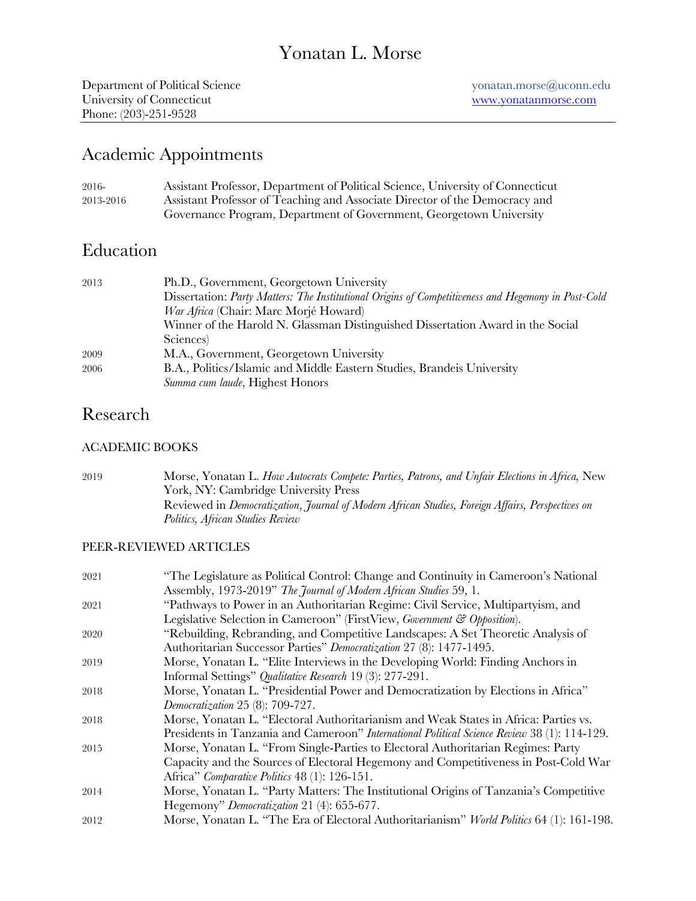# Yonatan L. Morse

# Academic Appointments

| 2016-     | Assistant Professor, Department of Political Science, University of Connecticut |
|-----------|---------------------------------------------------------------------------------|
| 2013-2016 | Assistant Professor of Teaching and Associate Director of the Democracy and     |
|           | Governance Program, Department of Government, Georgetown University             |

## Education

| 2013 | Ph.D., Government, Georgetown University                                                            |
|------|-----------------------------------------------------------------------------------------------------|
|      | Dissertation: Party Matters: The Institutional Origins of Competitiveness and Hegemony in Post-Cold |
|      | <i>War Africa</i> (Chair: Marc Morjé Howard)                                                        |
|      | Winner of the Harold N. Glassman Distinguished Dissertation Award in the Social                     |
|      | Sciences)                                                                                           |
| 2009 | M.A., Government, Georgetown University                                                             |
| 2006 | B.A., Politics/Islamic and Middle Eastern Studies, Brandeis University                              |
|      | Summa cum laude, Highest Honors                                                                     |

## Research

## ACADEMIC BOOKS

2019 Morse, Yonatan L. *How Autocrats Compete: Parties, Patrons, and Unfair Elections in Africa,* New York, NY: Cambridge University Press Reviewed in *Democratization*, *Journal of Modern African Studies, Foreign Affairs, Perspectives on Politics, African Studies Review*

## PEER-REVIEWED ARTICLES

| 2021 | "The Legislature as Political Control: Change and Continuity in Cameroon's National                 |
|------|-----------------------------------------------------------------------------------------------------|
|      | Assembly, 1973-2019" The Journal of Modern African Studies 59, 1.                                   |
| 2021 | "Pathways to Power in an Authoritarian Regime: Civil Service, Multipartyism, and                    |
|      | Legislative Selection in Cameroon" (FirstView, Government & Opposition).                            |
| 2020 | "Rebuilding, Rebranding, and Competitive Landscapes: A Set Theoretic Analysis of                    |
|      | Authoritarian Successor Parties" Democratization 27 (8): 1477-1495.                                 |
| 2019 | Morse, Yonatan L. "Elite Interviews in the Developing World: Finding Anchors in                     |
|      | Informal Settings" Qualitative Research 19 (3): 277-291.                                            |
| 2018 | Morse, Yonatan L. "Presidential Power and Democratization by Elections in Africa"                   |
|      | Democratization 25 (8): 709-727.                                                                    |
| 2018 | Morse, Yonatan L. "Electoral Authoritarianism and Weak States in Africa: Parties vs.                |
|      | Presidents in Tanzania and Cameroon" <i>International Political Science Review</i> 38 (1): 114-129. |
| 2015 | Morse, Yonatan L. "From Single-Parties to Electoral Authoritarian Regimes: Party                    |
|      | Capacity and the Sources of Electoral Hegemony and Competitiveness in Post-Cold War                 |
|      | Africa" Comparative Politics 48 (1): 126-151.                                                       |
| 2014 | Morse, Yonatan L. "Party Matters: The Institutional Origins of Tanzania's Competitive               |
|      | Hegemony" Democratization 21 (4): 655-677.                                                          |
| 2012 | Morse, Yonatan L. "The Era of Electoral Authoritarianism" World Politics 64 (1): 161-198.           |
|      |                                                                                                     |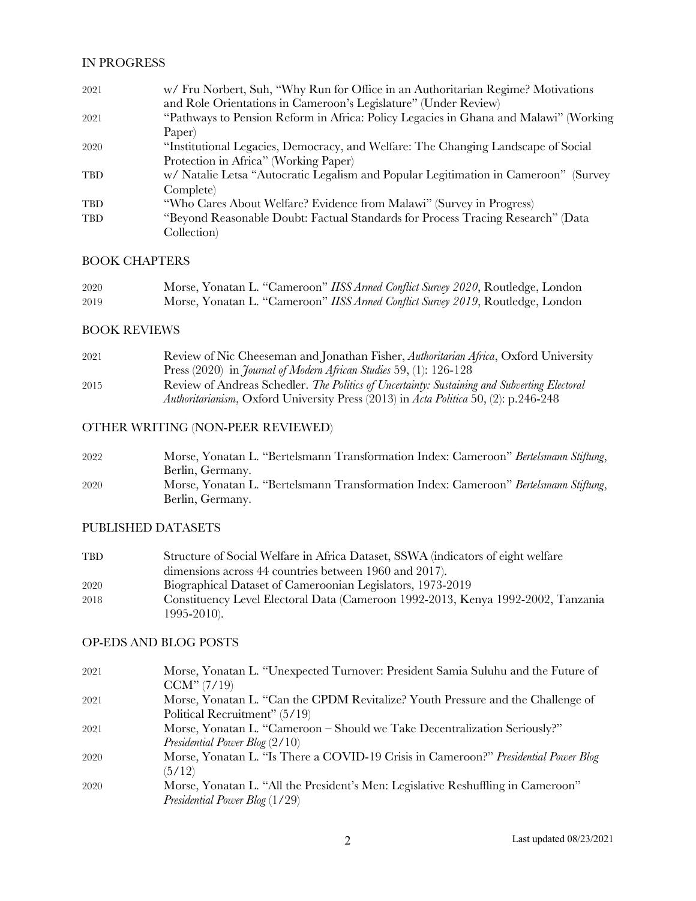### IN PROGRESS

| 2021       | w/ Fru Norbert, Suh, "Why Run for Office in an Authoritarian Regime? Motivations<br>and Role Orientations in Cameroon's Legislature" (Under Review) |
|------------|-----------------------------------------------------------------------------------------------------------------------------------------------------|
| 2021       | "Pathways to Pension Reform in Africa: Policy Legacies in Ghana and Malawi" (Working                                                                |
|            | Paper                                                                                                                                               |
| 2020       | "Institutional Legacies, Democracy, and Welfare: The Changing Landscape of Social                                                                   |
|            | Protection in Africa" (Working Paper)                                                                                                               |
| <b>TBD</b> | w/ Natalie Letsa "Autocratic Legalism and Popular Legitimation in Cameroon" (Survey                                                                 |
|            | Complete)                                                                                                                                           |
| <b>TBD</b> | "Who Cares About Welfare? Evidence from Malawi" (Survey in Progress)                                                                                |
| <b>TBD</b> | "Beyond Reasonable Doubt: Factual Standards for Process Tracing Research" (Data                                                                     |
|            | Collection                                                                                                                                          |

### BOOK CHAPTERS

| 2020 | Morse, Yonatan L. "Cameroon" IISS Armed Conflict Survey 2020, Routledge, London |
|------|---------------------------------------------------------------------------------|
| 2019 | Morse, Yonatan L. "Cameroon" IISS Armed Conflict Survey 2019, Routledge, London |

### BOOK REVIEWS

| Review of Nic Cheeseman and Jonathan Fisher, Authoritarian Africa, Oxford University         |
|----------------------------------------------------------------------------------------------|
| Press $(2020)$ in <i>Journal of Modern African Studies</i> 59, (1): 126-128                  |
| Review of Andreas Schedler. The Politics of Uncertainty: Sustaining and Subverting Electoral |
| Authoritarianism, Oxford University Press (2013) in Acta Politica 50, (2): p.246-248         |
|                                                                                              |

## OTHER WRITING (NON-PEER REVIEWED)

| 2022 | Morse, Yonatan L. "Bertelsmann Transformation Index: Cameroon" Bertelsmann Stiftung, |
|------|--------------------------------------------------------------------------------------|
|      | Berlin, Germany.                                                                     |
| 2020 | Morse, Yonatan L. "Bertelsmann Transformation Index: Cameroon" Bertelsmann Stiftung, |
|      | Berlin, Germany.                                                                     |

### PUBLISHED DATASETS

| TBD. | Structure of Social Welfare in Africa Dataset, SSWA (indicators of eight welfare                    |
|------|-----------------------------------------------------------------------------------------------------|
|      | dimensions across 44 countries between 1960 and 2017).                                              |
| 2020 | Biographical Dataset of Cameroonian Legislators, 1973-2019                                          |
| 2018 | Constituency Level Electoral Data (Cameroon 1992-2013, Kenya 1992-2002, Tanzania<br>$1995 - 2010$ . |
|      |                                                                                                     |

### OP-EDS AND BLOG POSTS

| 2021 | Morse, Yonatan L. "Unexpected Turnover: President Samia Suluhu and the Future of    |
|------|-------------------------------------------------------------------------------------|
|      | CCM''(7/19)                                                                         |
| 2021 | Morse, Yonatan L. "Can the CPDM Revitalize? Youth Pressure and the Challenge of     |
|      | Political Recruitment" (5/19)                                                       |
| 2021 | Morse, Yonatan L. "Cameroon – Should we Take Decentralization Seriously?"           |
|      | Presidential Power Blog $(2/10)$                                                    |
| 2020 | Morse, Yonatan L. "Is There a COVID-19 Crisis in Cameroon?" Presidential Power Blog |
|      | (5/12)                                                                              |
| 2020 | Morse, Yonatan L. "All the President's Men: Legislative Reshuffling in Cameroon"    |
|      | <i>Presidential Power Blog</i> (1/29)                                               |
|      |                                                                                     |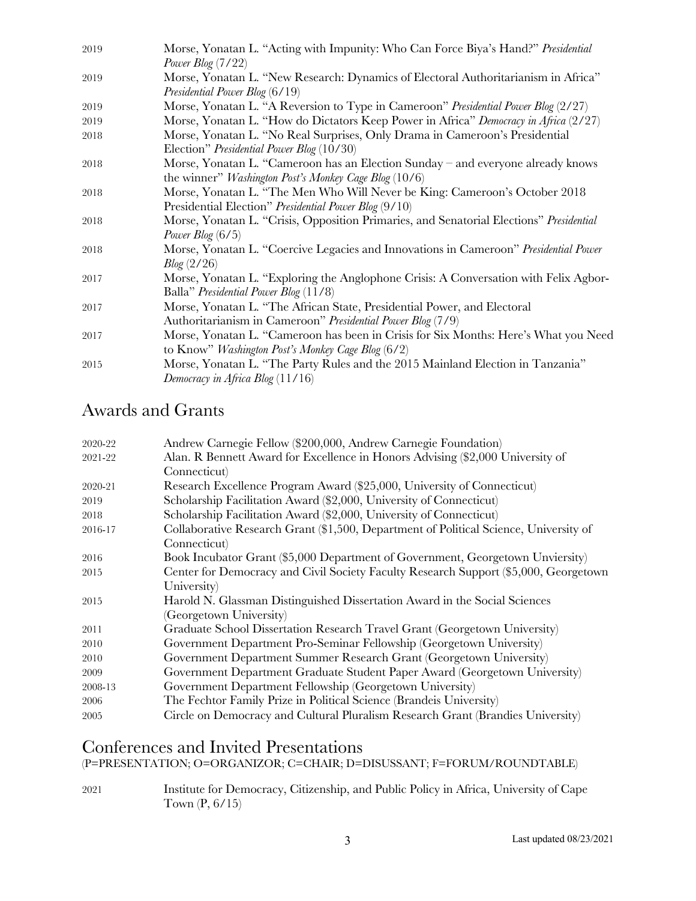| 2019 | Morse, Yonatan L. "Acting with Impunity: Who Can Force Biya's Hand?" Presidential       |
|------|-----------------------------------------------------------------------------------------|
|      | Power Blog $(7/22)$                                                                     |
| 2019 | Morse, Yonatan L. "New Research: Dynamics of Electoral Authoritarianism in Africa"      |
|      | Presidential Power Blog (6/19)                                                          |
| 2019 | Morse, Yonatan L. "A Reversion to Type in Cameroon" Presidential Power Blog (2/27)      |
| 2019 | Morse, Yonatan L. "How do Dictators Keep Power in Africa" Democracy in Africa (2/27)    |
| 2018 | Morse, Yonatan L. "No Real Surprises, Only Drama in Cameroon's Presidential             |
|      | Election" Presidential Power Blog (10/30)                                               |
| 2018 | Morse, Yonatan L. "Cameroon has an Election Sunday – and everyone already knows         |
|      | the winner" <i>Washington Post's Monkey Cage Blog</i> $(10/6)$                          |
| 2018 | Morse, Yonatan L. "The Men Who Will Never be King: Cameroon's October 2018              |
|      | Presidential Election" Presidential Power Blog (9/10)                                   |
| 2018 | Morse, Yonatan L. "Crisis, Opposition Primaries, and Senatorial Elections" Presidential |
|      | Power Blog $(6/5)$                                                                      |
| 2018 | Morse, Yonatan L. "Coercive Legacies and Innovations in Cameroon" Presidential Power    |
|      | Blog(2/26)                                                                              |
| 2017 | Morse, Yonatan L. "Exploring the Anglophone Crisis: A Conversation with Felix Agbor-    |
|      | Balla" Presidential Power Blog (11/8)                                                   |
| 2017 | Morse, Yonatan L. "The African State, Presidential Power, and Electoral                 |
|      | Authoritarianism in Cameroon" Presidential Power Blog (7/9)                             |
| 2017 | Morse, Yonatan L. "Cameroon has been in Crisis for Six Months: Here's What you Need     |
|      | to Know" <i>Washington Post's Monkey Cage Blog</i> $(6/2)$                              |
| 2015 | Morse, Yonatan L. "The Party Rules and the 2015 Mainland Election in Tanzania"          |
|      | Democracy in Africa Blog $(11/16)$                                                      |
|      |                                                                                         |

# Awards and Grants

| 2020-22 | Andrew Carnegie Fellow (\$200,000, Andrew Carnegie Foundation)                        |
|---------|---------------------------------------------------------------------------------------|
| 2021-22 | Alan. R Bennett Award for Excellence in Honors Advising (\$2,000 University of        |
|         | Connecticut)                                                                          |
| 2020-21 | Research Excellence Program Award (\$25,000, University of Connecticut)               |
| 2019    | Scholarship Facilitation Award (\$2,000, University of Connecticut)                   |
| 2018    | Scholarship Facilitation Award (\$2,000, University of Connecticut)                   |
| 2016-17 | Collaborative Research Grant (\$1,500, Department of Political Science, University of |
|         | Connecticut)                                                                          |
| 2016    | Book Incubator Grant (\$5,000 Department of Government, Georgetown Unviersity)        |
| 2015    | Center for Democracy and Civil Society Faculty Research Support (\$5,000, Georgetown  |
|         | University)                                                                           |
| 2015    | Harold N. Glassman Distinguished Dissertation Award in the Social Sciences            |
|         | (Georgetown University)                                                               |
| 2011    | Graduate School Dissertation Research Travel Grant (Georgetown University)            |
| 2010    | Government Department Pro-Seminar Fellowship (Georgetown University)                  |
| 2010    | Government Department Summer Research Grant (Georgetown University)                   |
| 2009    | Government Department Graduate Student Paper Award (Georgetown University)            |
| 2008-13 | Government Department Fellowship (Georgetown University)                              |
| 2006    | The Fechtor Family Prize in Political Science (Brandeis University)                   |
| 2005    | Circle on Democracy and Cultural Pluralism Research Grant (Brandies University)       |

## Conferences and Invited Presentations

(P=PRESENTATION; O=ORGANIZOR; C=CHAIR; D=DISUSSANT; F=FORUM/ROUNDTABLE)

2021 Institute for Democracy, Citizenship, and Public Policy in Africa, University of Cape Town (P, 6/15)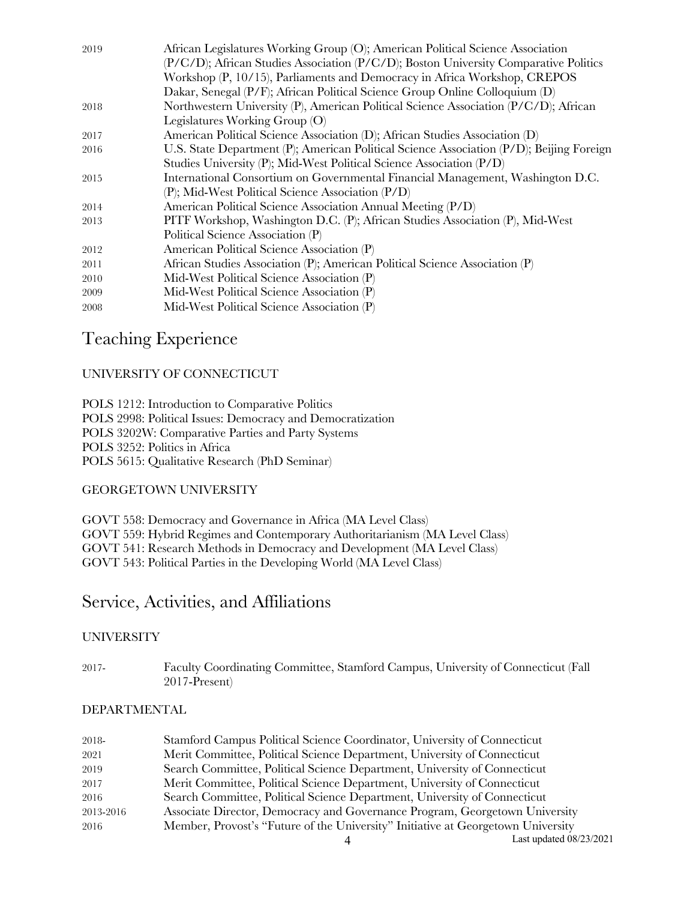| 2019 | African Legislatures Working Group (O); American Political Science Association           |
|------|------------------------------------------------------------------------------------------|
|      | (P/C/D); African Studies Association (P/C/D); Boston University Comparative Politics     |
|      | Workshop (P, 10/15), Parliaments and Democracy in Africa Workshop, CREPOS                |
|      | Dakar, Senegal (P/F); African Political Science Group Online Colloquium (D)              |
| 2018 | Northwestern University (P), American Political Science Association (P/C/D); African     |
|      | Legislatures Working Group (O)                                                           |
| 2017 | American Political Science Association (D); African Studies Association (D)              |
| 2016 | U.S. State Department (P); American Political Science Association (P/D); Beijing Foreign |
|      | Studies University (P); Mid-West Political Science Association (P/D)                     |
| 2015 | International Consortium on Governmental Financial Management, Washington D.C.           |
|      | (P); Mid-West Political Science Association (P/D)                                        |
| 2014 | American Political Science Association Annual Meeting (P/D)                              |
| 2013 | PITF Workshop, Washington D.C. (P); African Studies Association (P), Mid-West            |
|      | Political Science Association (P)                                                        |
| 2012 | American Political Science Association (P)                                               |
| 2011 | African Studies Association (P); American Political Science Association (P)              |
| 2010 | Mid-West Political Science Association (P)                                               |
| 2009 | Mid-West Political Science Association (P)                                               |
| 2008 | Mid-West Political Science Association (P)                                               |
|      |                                                                                          |

## Teaching Experience

### UNIVERSITY OF CONNECTICUT

POLS 1212: Introduction to Comparative Politics POLS 2998: Political Issues: Democracy and Democratization POLS 3202W: Comparative Parties and Party Systems POLS 3252: Politics in Africa POLS 5615: Qualitative Research (PhD Seminar)

### GEORGETOWN UNIVERSITY

GOVT 558: Democracy and Governance in Africa (MA Level Class) GOVT 559: Hybrid Regimes and Contemporary Authoritarianism (MA Level Class) GOVT 541: Research Methods in Democracy and Development (MA Level Class) GOVT 543: Political Parties in the Developing World (MA Level Class)

## Service, Activities, and Affiliations

### UNIVERSITY

2017- Faculty Coordinating Committee, Stamford Campus, University of Connecticut (Fall 2017-Present)

### DEPARTMENTAL

| 2018-     | Stamford Campus Political Science Coordinator, University of Connecticut         |
|-----------|----------------------------------------------------------------------------------|
| 2021      | Merit Committee, Political Science Department, University of Connecticut         |
| 2019      | Search Committee, Political Science Department, University of Connecticut        |
| 2017      | Merit Committee, Political Science Department, University of Connecticut         |
| 2016      | Search Committee, Political Science Department, University of Connecticut        |
| 2013-2016 | Associate Director, Democracy and Governance Program, Georgetown University      |
| 2016      | Member, Provost's "Future of the University" Initiative at Georgetown University |
|           | Last updated 08/23/2021                                                          |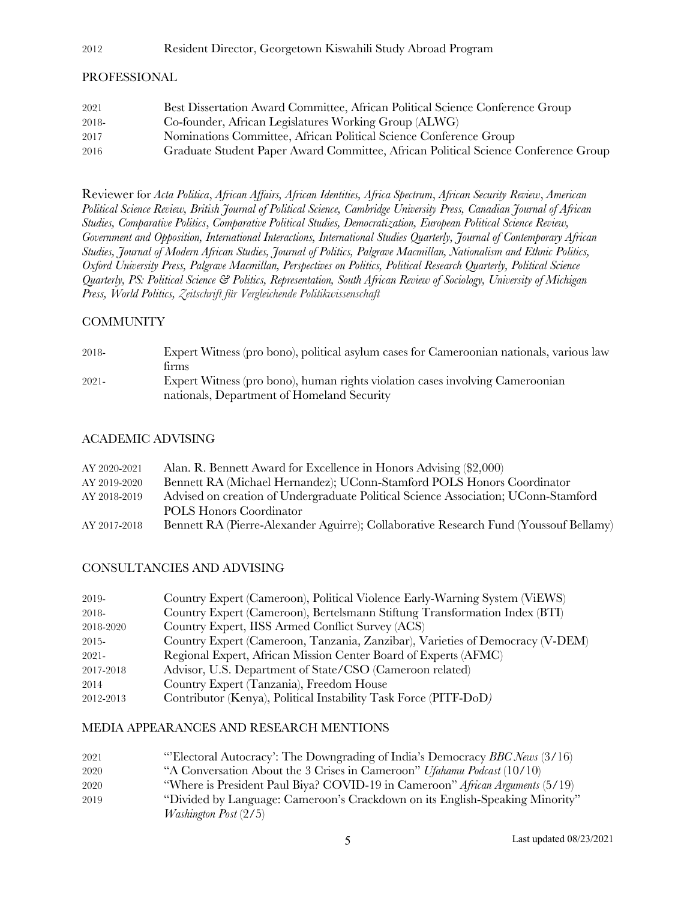#### 2012 Resident Director, Georgetown Kiswahili Study Abroad Program

#### PROFESSIONAL

| 2021  | Best Dissertation Award Committee, African Political Science Conference Group      |
|-------|------------------------------------------------------------------------------------|
| 2018- | Co-founder, African Legislatures Working Group (ALWG)                              |
| 2017  | Nominations Committee, African Political Science Conference Group                  |
| 2016  | Graduate Student Paper Award Committee, African Political Science Conference Group |

Reviewer for *Acta Politica*, *African Affairs, African Identities, Africa Spectrum*, *African Security Review*, *American Political Science Review, British Journal of Political Science, Cambridge University Press, Canadian Journal of African Studies, Comparative Politics*, *Comparative Political Studies, Democratization, European Political Science Review, Government and Opposition, International Interactions, International Studies Quarterly, Journal of Contemporary African Studies, Journal of Modern African Studies, Journal of Politics, Palgrave Macmillan, Nationalism and Ethnic Politics, Oxford University Press, Palgrave Macmillan, Perspectives on Politics, Political Research Quarterly, Political Science Quarterly, PS: Political Science & Politics, Representation, South African Review of Sociology, University of Michigan Press, World Politics, Zeitschrift für Vergleichende Politikwissenschaft*

### **COMMUNITY**

| 2018-    | Expert Witness (pro bono), political asylum cases for Cameroonian nationals, various law |
|----------|------------------------------------------------------------------------------------------|
|          | tirms                                                                                    |
| $2021 -$ | Expert Witness (pro bono), human rights violation cases involving Cameroonian            |
|          | nationals, Department of Homeland Security                                               |

### ACADEMIC ADVISING

| AY 2020-2021 | Alan. R. Bennett Award for Excellence in Honors Advising (\$2,000)                    |
|--------------|---------------------------------------------------------------------------------------|
| AY 2019-2020 | Bennett RA (Michael Hernandez); UConn-Stamford POLS Honors Coordinator                |
| AY 2018-2019 | Advised on creation of Undergraduate Political Science Association; UConn-Stamford    |
|              | POLS Honors Coordinator                                                               |
| AY 2017-2018 | Bennett RA (Pierre-Alexander Aguirre); Collaborative Research Fund (Youssouf Bellamy) |

#### CONSULTANCIES AND ADVISING

| 2019-     | Country Expert (Cameroon), Political Violence Early-Warning System (ViEWS)    |
|-----------|-------------------------------------------------------------------------------|
| 2018-     | Country Expert (Cameroon), Bertelsmann Stiftung Transformation Index (BTI)    |
| 2018-2020 | Country Expert, IISS Armed Conflict Survey (ACS)                              |
| 2015-     | Country Expert (Cameroon, Tanzania, Zanzibar), Varieties of Democracy (V-DEM) |
| $2021 -$  | Regional Expert, African Mission Center Board of Experts (AFMC)               |
| 2017-2018 | Advisor, U.S. Department of State/CSO (Cameroon related)                      |
| 2014      | Country Expert (Tanzania), Freedom House                                      |
| 2012-2013 | Contributor (Kenya), Political Instability Task Force (PITF-DoD)              |

#### MEDIA APPEARANCES AND RESEARCH MENTIONS

| 2021 | "Electoral Autocracy': The Downgrading of India's Democracy BBC News (3/16)   |
|------|-------------------------------------------------------------------------------|
| 2020 | "A Conversation About the 3 Crises in Cameroon" Ufahamu Podcast (10/10)       |
| 2020 | "Where is President Paul Biya? COVID-19 in Cameroon" African Arguments (5/19) |
| 2019 | "Divided by Language: Cameroon's Crackdown on its English-Speaking Minority"  |
|      | <i>Washington Post</i> $(2/5)$                                                |